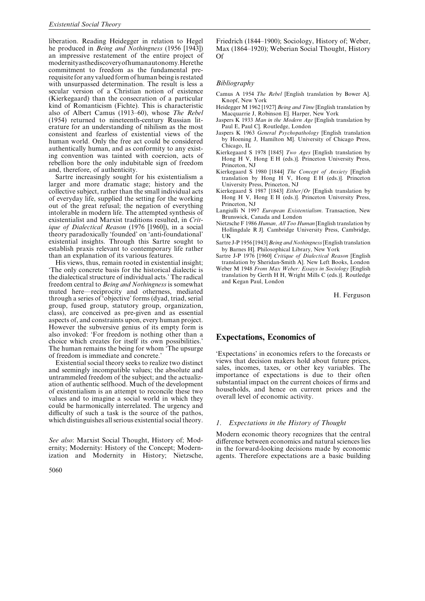liberation. Reading Heidegger in relation to Hegel he produced in *Being and Nothingness* (1956 [1943]) an impressive restatement of the entire project of modernityasthediscoveryofhumanautonomy.Herethe commitment to freedom as the fundamental prerequisite for any valued form of human beingis restated with unsurpassed determination. The result is less a secular version of a Christian notion of existence (Kierkegaard) than the consecration of a particular kind of Romanticism (Fichte). This is characteristic also of Albert Camus (1913–60), whose *The Rebel* (1954) returned to nineteenth-century Russian literature for an understanding of nihilism as the most consistent and fearless of existential views of the human world. Only the free act could be considered authentically human, and as conformity to any existing convention was tainted with coercion, acts of rebellion bore the only indubitable sign of freedom and, therefore, of authenticity.

Sartre increasingly sought for his existentialism a larger and more dramatic stage; history and the collective subject, rather than the small individual acts of everyday life, supplied the setting for the working out of the great refusal; the negation of everything intolerable in modern life. The attempted synthesis of existentialist and Marxist traditions resulted, in *Critique of Dialectical Reason* (1976 [1960]), in a social theory paradoxically 'founded' on 'anti-foundational' existential insights. Through this Sartre sought to establish praxis relevant to contemporary life rather than an explanation of its various features.

His views, thus, remain rooted in existential insight; 'The only concrete basis for the historical dialectic is the dialectical structure of individual acts.' The radical freedom central to *Being and Nothingness* is somewhat muted here—reciprocity and otherness, mediated through a series of 'objective' forms (dyad, triad, serial group, fused group, statutory group, organization, class), are conceived as pre-given and as essential aspects of, and constraints upon, every human project. However the subversive genius of its empty form is also invoked: 'For freedom is nothing other than a choice which creates for itself its own possibilities.' The human remains the being for whom 'The upsurge of freedom is immediate and concrete.'

Existential social theory seeks to realize two distinct and seemingly incompatible values; the absolute and untrammeled freedom of the subject; and the actualization of authentic selfhood. Much of the development of existentialism is an attempt to reconcile these two values and to imagine a social world in which they could be harmonically interrelated. The urgency and difficulty of such a task is the source of the pathos, which distinguishes all serious existential social theory.

*See also*: Marxist Social Thought, History of; Modernity; Modernity: History of the Concept; Modernization and Modernity in History; Nietzsche,

5060

Friedrich (1844–1900); Sociology, History of; Weber, Max (1864–1920); Weberian Social Thought, History Of

# *Bibliography*

- Camus A 1954 *The Rebel* [English translation by Bower A]. Knopf, New York
- Heidegger M 1962 [1927] *Being and Time* [English translation by Macquarrie J, Robinson E]. Harper, New York
- Jaspers K 1933 *Man in the Modern Age* [English translation by Paul E, Paul C]. Routledge, London
- Jaspers K 1963 *General Psychopathology* [English translation by Hoening J, Hamilton M]. University of Chicago Press, Chicago, IL
- Kierkegaard S 1978 [1845] *Two Ages* [English translation by Hong H V, Hong E H (eds.)]. Princeton University Press, Princeton, NJ
- Kierkegaard S 1980 [1844] *The Concept of Anxiety* [English translation by Hong H V, Hong E H (eds.)]. Princeton University Press, Princeton, NJ
- Kierkegaard S 1987 [1843] *Either*}*Or* [English translation by Hong H V, Hong E H (eds.)]. Princeton University Press, Princeton, NJ
- Langiulli N 1997 *European Existentialism*. Transaction, New Brunswick, Canada and London
- Nietzsche F 1986 *Human, All Too Human* [English translation by Hollingdale R J]. Cambridge University Press, Cambridge, UK
- Sartre J-P 1956 [1943] *Being and Nothingness*[English translation by Barnes H]. Philosophical Library, New York
- Sartre J-P 1976 [1960] *Critique of Dialectical Reason* [English translation by Sheridan-Smith A]. New Left Books, London
- Weber M 1948 *From Max Weber: Essays in Sociology* [English translation by Gerth H H, Wright Mills C (eds.)]. Routledge and Kegan Paul, London

H. Ferguson

# **Expectations, Economics of**

'Expectations' in economics refers to the forecasts or views that decision makers hold about future prices, sales, incomes, taxes, or other key variables. The importance of expectations is due to their often substantial impact on the current choices of firms and households, and hence on current prices and the overall level of economic activity.

# *1. Expectations in the History of Thought*

Modern economic theory recognizes that the central difference between economics and natural sciences lies in the forward-looking decisions made by economic agents. Therefore expectations are a basic building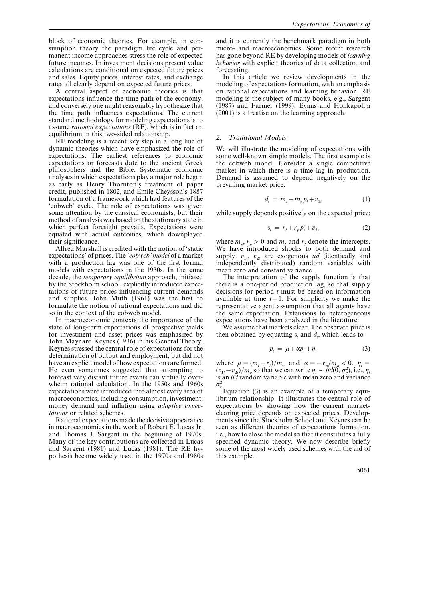block of economic theories. For example, in consumption theory the paradigm life cycle and permanent income approaches stress the role of expected future incomes. In investment decisions present value calculations are conditional on expected future prices and sales. Equity prices, interest rates, and exchange rates all clearly depend on expected future prices.

A central aspect of economic theories is that expectations influence the time path of the economy, and conversely one might reasonably hypothesize that the time path influences expectations. The current standard methodology for modeling expectations is to assume *rational expectations* (RE), which is in fact an equilibrium in this two-sided relationship.

RE modeling is a recent key step in a long line of dynamic theories which have emphasized the role of expectations. The earliest references to economic expectations or forecasts date to the ancient Greek philosophers and the Bible. Systematic economic analyses in which expectations play a major role began as early as Henry Thornton's treatment of paper credit, published in 1802, and Emile Cheysson's 1887 formulation of a framework which had features of the 'cobweb' cycle. The role of expectations was given some attention by the classical economists, but their method of analysis was based on the stationary state in which perfect foresight prevails. Expectations were equated with actual outcomes, which downplayed their significance.

Alfred Marshall is credited with the notion of 'static expectations' of prices. The *'cobweb' model* of a market with a production lag was one of the first formal models with expectations in the 1930s. In the same decade, the *temporary equilibrium* approach, initiated by the Stockholm school, explicitly introduced expectations of future prices influencing current demands and supplies. John Muth (1961) was the first to formulate the notion of rational expectations and did so in the context of the cobweb model.

In macroeconomic contexts the importance of the state of long-term expectations of prospective yields for investment and asset prices was emphasized by John Maynard Keynes (1936) in his General Theory. Keynes stressed the central role of expectations for the determination of output and employment, but did not have an explicit model of how expectations are formed. He even sometimes suggested that attempting to forecast very distant future events can virtually overwhelm rational calculation. In the 1950s and 1960s expectations were introduced into almost every area of macroeconomics, including consumption, investment, money demand and inflation using *adaptie expectations* or related schemes.

Rational expectations made the decisive appearance in macroeconomics in the work of Robert E. Lucas Jr. and Thomas J. Sargent in the beginning of 1970s. Many of the key contributions are collected in Lucas and Sargent (1981) and Lucas (1981). The RE hypothesis became widely used in the 1970s and 1980s

and it is currently the benchmark paradigm in both micro- and macroeconomics. Some recent research has gone beyond RE by developing models of *learning behaior* with explicit theories of data collection and forecasting.

In this article we review developments in the modeling of expectations formation, with an emphasis on rational expectations and learning behavior. RE modeling is the subject of many books, e.g., Sargent (1987) and Farmer (1999). Evans and Honkapohja (2001) is a treatise on the learning approach.

# *2. Traditional Models*

We will illustrate the modeling of expectations with some well-known simple models. The first example is the cobweb model. Consider a single competitive market in which there is a time lag in production. Demand is assumed to depend negatively on the prevailing market price:

$$
d_t = m_t - m_p p_t + v_{1t} \tag{1}
$$

while supply depends positively on the expected price:

$$
\mathbf{s}_t = r_t + r_p p_t^e + v_{2t} \tag{2}
$$

where  $m_p$ ,  $r_p > 0$  and  $m_l$  and  $r_l$  denote the intercepts. We have introduced shocks to both demand and supply.  $v_{1t}$ ,  $v_{2t}$  are exogenous *iid* (identically and independently distributed) random variables with mean zero and constant variance.

The interpretation of the supply function is that there is a one-period production lag, so that supply decisions for period *t* must be based on information available at time  $t-1$ . For simplicity we make the representative agent assumption that all agents have the same expectation. Extensions to heterogeneous expectations have been analyzed in the literature.

We assume that markets clear. The observed price is then obtained by equating  $s_t$  and  $d_t$ , which leads to

$$
p_t = \mu + \alpha p_t^e + \eta_t \tag{3}
$$

where  $\mu = (m_{I} - r_{I})/m_{p}$  and  $\alpha = -r_{p}/m_{p} < 0$ .  $\eta_{t} =$ where  $\mu = (m_t - r_t)/m_p$  and  $\alpha = -r_p/m_p < (v_{tt} - v_{2t})/m_p$  so that we can write  $\eta_t \sim \frac{i d(0, \sigma_t^2)}{v_{\tau}}$ is an *iid* random variable with mean zero and variance 1S ε $\sigma_{\eta}^2.$ 

Equation (3) is an example of a temporary equilibrium relationship. It illustrates the central role of expectations by showing how the current marketclearing price depends on expected prices. Developments since the Stockholm School and Keynes can be seen as different theories of expectations formation, i.e., how to close the model so that it constitutes a fully specified dynamic theory. We now describe briefly some of the most widely used schemes with the aid of this example.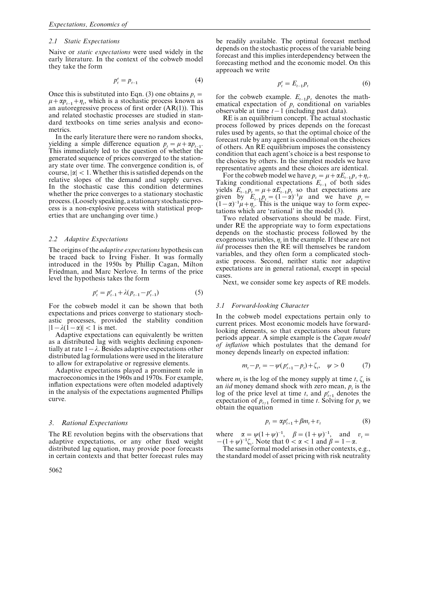#### *2.1 Static Expectations*

Naive or *static expectations* were used widely in the early literature. In the context of the cobweb model they take the form

$$
p_t^e = p_{t-1} \tag{4}
$$

Once this is substituted into Eqn. (3) one obtains  $p_t =$  $\mu + \alpha p_{t-1} + \eta_t$ , which is a stochastic process known as an autoregressive process of first order  $(AR(1))$ . This and related stochastic processes are studied in standard textbooks on time series analysis and econometrics.

In the early literature there were no random shocks, yielding a simple difference equation  $p_t = \mu + \alpha p_{t-1}$ . This immediately led to the question of whether the generated sequence of prices converged to the stationary state over time. The convergence condition is, of course,  $|\alpha|$  < 1. Whether this is satisfied depends on the relative slopes of the demand and supply curves. In the stochastic case this condition determines whether the price converges to a stationary stochastic process. (Loosely speaking, a stationary stochastic process is a non-explosive process with statistical properties that are unchanging over time.)

#### *2.2 Adaptie Expectations*

The origins of the *adaptie expectations* hypothesis can be traced back to Irving Fisher. It was formally introduced in the 1950s by Phillip Cagan, Milton Friedman, and Marc Nerlove. In terms of the price level the hypothesis takes the form

$$
p_t^e = p_{t-1}^e + \lambda (p_{t-1} - p_{t-1}^e) \tag{5}
$$

For the cobweb model it can be shown that both expectations and prices converge to stationary stochastic processes, provided the stability condition  $|1-\lambda(1-\alpha)| < 1$  is met.

Adaptive expectations can equivalently be written as a distributed lag with weights declining exponentially at rate  $1 - \lambda$ . Besides adaptive expectations other distributed lag formulations were used in the literature to allow for extrapolative or regressive elements.

Adaptive expectations played a prominent role in macroeconomics in the 1960s and 1970s. For example, inflation expectations were often modeled adaptively in the analysis of the expectations augmented Phillips curve.

## *3. Rational Expectations*

The RE revolution begins with the observations that adaptive expectations, or any other fixed weight distributed lag equation, may provide poor forecasts in certain contexts and that better forecast rules may

5062

be readily available. The optimal forecast method depends on the stochastic process of the variable being forecast and this implies interdependency between the forecasting method and the economic model. On this approach we write

$$
p_t^e = E_{t-1} p_t \tag{6}
$$

for the cobweb example.  $E_{t-1}p_t$  denotes the mathematical expectation of  $p_t$  conditional on variables observable at time  $t-1$  (including past data).

RE is an equilibrium concept. The actual stochastic process followed by prices depends on the forecast rules used by agents, so that the optimal choice of the forecast rule by any agent is conditional on the choices of others. An RE equilibrium imposes the consistency condition that each agent's choice is a best response to the choices by others. In the simplest models we have representative agents and these choices are identical.

For the cobweb model we have  $p_t = \mu + \alpha E_{t-1} p_t + \eta_t$ . Taking conditional expectations  $E_{t-1}$  of both sides yields  $E_{t-1}p_t = \mu + \alpha E_{t-1}p_t$  so that expectations are yields  $E_{t-1}p_t = \mu + \alpha E_{t-1}p_t$  so that expectations are<br>given by  $E_{t-1}p_t = (1-\alpha)^{-1}\mu$  and we have  $p_t = (1-\alpha)^{-1}\mu + \eta_t$ . This is the unique way to form expectations which are 'rational' in the model (3).

Two related observations should be made. First, under RE the appropriate way to form expectations depends on the stochastic process followed by the exogenous variables,  $\eta_t$  in the example. If these are not *iid* processes then the RE will themselves be random variables, and they often form a complicated stochastic process. Second, neither static nor adaptive expectations are in general rational, except in special cases.

Next, we consider some key aspects of RE models.

#### *3.1 Forward*-*looking Character*

In the cobweb model expectations pertain only to current prices. Most economic models have forwardlooking elements, so that expectations about future periods appear. A simple example is the *Cagan model of inflation* which postulates that the demand for money depends linearly on expected inflation:

$$
m_t - p_t = -\psi(p_{t+1}^e - p_t) + \zeta_t, \quad \psi > 0 \tag{7}
$$

where  $m_t$  is the log of the money supply at time *t*,  $\zeta_t$  is an *iid* money demand shock with zero mean,  $p<sub>t</sub>$  is the log of the price level at time *t*, and  $p_{t+1}^e$  denotes the expectation of  $p_{t+1}$  formed in time *t*. Solving for  $p_t$  we obtain the equation

$$
p_t = \alpha p_{t+1}^e + \beta m_t + v_t \tag{8}
$$

where  $\alpha = \psi(1+\psi)^{-1}$ ,  $\beta = (1+\psi)^{-1}$ , and  $v_t = -(1+\psi)^{-1}\zeta_t$ . Note that  $0 < \alpha < 1$  and  $\beta = 1 - \alpha$ .

The same formal model arises in other contexts, e.g., the standard model of asset pricing with risk neutrality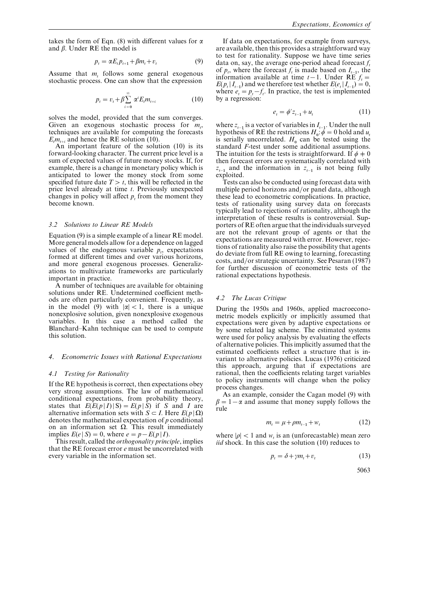$$
p_t = \alpha E_t p_{t+1} + \beta m_t + v_t \tag{9}
$$

Assume that *m<sup>t</sup>* follows some general exogenous stochastic process. One can show that the expression

$$
p_t = v_t + \beta \sum_{i=0}^{\infty} \alpha^i E_t m_{t+i}
$$
 (10)

solves the model, provided that the sum converges. Given an exogenous stochastic process for  $m_t$ , techniques are available for computing the forecasts  $E_t m_{t+i}$  and hence the RE solution (10).

An important feature of the solution (10) is its forward-looking character. The current price level is a sum of expected values of future money stocks. If, for example, there is a change in monetary policy which is anticipated to lower the money stock from some specified future date  $T > t$ , this will be reflected in the price level already at time *t*. Previously unexpected changes in policy will affect  $p<sub>t</sub>$  from the moment they become known.

#### *3.2 Solutions to Linear RE Models*

Equation (9) is a simple example of a linear RE model. More general models allow for a dependence on lagged values of the endogenous variable  $p_t$ , expectations formed at different times and over various horizons, and more general exogenous processes. Generalizations to multivariate frameworks are particularly important in practice.

A number of techniques are available for obtaining solutions under RE. Undetermined coefficient methods are often particularly convenient. Frequently, as in the model (9) with  $|\alpha| < 1$ , there is a unique nonexplosive solution, given nonexplosive exogenous variables. In this case a method called the Blanchard–Kahn technique can be used to compute this solution.

## *4. Econometric Issues with Rational Expectations*

#### *4.1 Testing for Rationality*

If the RE hypothesis is correct, then expectations obey very strong assumptions. The law of mathematical conditional expectations, from probability theory, states that  $E(E(p|I)|S) = E(p|S)$  if *S* and *I* are alternative information sets with  $S \subset I$ . Here  $E(p | \Omega)$ denotes the mathematical expectation of *p* conditional on an information set  $\Omega$ . This result immediately implies  $E(e|S) = 0$ , where  $e = p - E(p|I)$ .

This result, called the *orthogonality principle*, implies that the RE forecast error *e* must be uncorrelated with every variable in the information set.

If data on expectations, for example from surveys, are available, then this provides a straightforward way to test for rationality. Suppose we have time series data on, say, the average one-period ahead forecast  $f_t$ of  $p_t$ , where the forecast  $f_t$  is made based on  $I_{t-1}$ , the information available at time  $t-1$ . Under RE  $f_t =$  $E(p_t | I_{t-1})$  and we therefore test whether  $E(e_t | I_{t-1}) = 0$ , where  $e_t = p_t - f_t$ . In practice, the test is implemented by a regression:

$$
e_t = \phi' z_{t-1} + u_t \tag{11}
$$

where  $z_{t-1}$  is a vector of variables in  $I_{t-1}$ . Under the null hypothesis of RE the restrictions  $H_0$ : $\phi = 0$  hold and  $u_t$  is serially uncorrelated.  $H_0$  can be tested using the  $_0$  can be tested using the standard *F*-test under some additional assumptions. The intuition for the tests is straightforward. If  $\phi \neq 0$ then forecast errors are systematically correlated with  $z_{t-1}$  and the information in  $z_{t-1}$  is not being fully exploited.

Tests can also be conducted using forecast data with multiple period horizons and/or panel data, although these lead to econometric complications. In practice, tests of rationality using survey data on forecasts typically lead to rejections of rationality, although the interpretation of these results is controversial. Supporters of RE often argue that the individuals surveyed are not the relevant group of agents or that the expectations are measured with error. However, rejections of rationality also raise the possibility that agents do deviate from full RE owing to learning, forecasting costs, and/or strategic uncertainty. See Pesaran (1987) for further discussion of econometric tests of the rational expectations hypothesis.

### *4.2 The Lucas Critique*

During the 1950s and 1960s, applied macroeconometric models explicitly or implicitly assumed that expectations were given by adaptive expectations or by some related lag scheme. The estimated systems were used for policy analysis by evaluating the effects of alternative policies. This implicitly assumed that the estimated coefficients reflect a structure that is invariant to alternative policies. Lucas (1976) criticized this approach, arguing that if expectations are rational, then the coefficients relating target variables to policy instruments will change when the policy process changes.

As an example, consider the Cagan model (9) with  $\beta = 1 - \alpha$  and assume that money supply follows the rule

$$
m_t = \mu + \rho m_{t-1} + w_t \tag{12}
$$

where  $|\rho|$  < 1 and *w<sub>t</sub>* is an (unforecastable) mean zero *iid* shock. In this case the solution (10) reduces to

$$
p_t = \delta + \gamma m_t + v_t \tag{13}
$$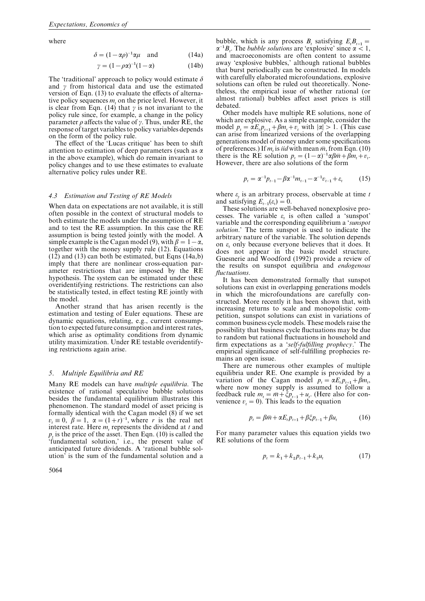where

$$
\delta = (1 - \alpha \rho)^{-1} \alpha \mu \quad \text{and} \tag{14a}
$$

$$
\gamma = (1 - \rho \alpha)^{-1} (1 - \alpha) \tag{14b}
$$

The 'traditional' approach to policy would estimate  $\delta$ and  $\gamma$  from historical data and use the estimated version of Eqn. (13) to evaluate the effects of alternative policy sequences  $m_t$  on the price level. However, it is clear from Eqn. (14) that  $\gamma$  is not invariant to the policy rule since, for example, a change in the policy parameter  $\rho$  affects the value of  $\gamma$ . Thus, under RE, the response of target variables to policy variables depends on the form of the policy rule.

The effect of the 'Lucas critique' has been to shift attention to estimation of deep parameters (such as  $\alpha$ in the above example), which do remain invariant to policy changes and to use these estimates to evaluate alternative policy rules under RE.

### *4.3 Estimation and Testing of RE Models*

When data on expectations are not available, it is still often possible in the context of structural models to both estimate the models under the assumption of RE and to test the RE assumption. In this case the RE assumption is being tested jointly with the model. A simple example is the Cagan model (9), with  $\beta = 1 - \alpha$ , together with the money supply rule (12). Equations (12) and (13) can both be estimated, but Eqns (14a,b) imply that there are nonlinear cross-equation parameter restrictions that are imposed by the RE hypothesis. The system can be estimated under these overidentifying restrictions. The restrictions can also be statistically tested, in effect testing RE jointly with the model.

Another strand that has arisen recently is the estimation and testing of Euler equations. These are dynamic equations, relating, e.g., current consumption to expected future consumption and interest rates, which arise as optimality conditions from dynamic utility maximization. Under RE testable overidentifying restrictions again arise.

# *5. Multiple Equilibria and RE*

Many RE models can have *multiple equilibria*. The existence of rational speculative bubble solutions besides the fundamental equilibrium illustrates this phenomenon. The standard model of asset pricing is formally identical with the Cagan model (8) if we set formally identical with the Cagan model (8) if we set<br>  $v_i \equiv 0, \ \beta = 1, \ \alpha = (1+r)^{-1}$ , where *r* is the real net interest rate. Here  $m<sub>t</sub>$  represents the dividend at  $t$  and  $p<sub>t</sub>$  is the price of the asset. Then Eqn. (10) is called the 'fundamental solution,' i.e., the present value of anticipated future dividends. A 'rational bubble solution' is the sum of the fundamental solution and a

5064

bubble, which is any process  $B_t$  satisfying  $E_t B_{t+1} =$ bubble, which is any process  $B_t$  satisfying  $E_t B_{t+1} = \alpha^{-1} B_t$ . The *bubble solutions* are 'explosive' since  $\alpha < 1$ , and macroeconomists are often content to assume away 'explosive bubbles,' although rational bubbles that burst periodically can be constructed. In models with carefully elaborated microfoundations, explosive solutions can often be ruled out theoretically. Nonetheless, the empirical issue of whether rational (or almost rational) bubbles affect asset prices is still debated.

Other models have multiple RE solutions, none of which are explosive. As a simple example, consider the model  $p_t = \alpha E_t p_{t+1} + \beta m_t + v_t$  with  $|\alpha| > 1$ . (This case can arise from linearized versions of the overlapping generations model of money under some specifications of preferences.) If  $m_t$  is *iid* with mean  $\overline{m}$ , from Eqn. (10) of preferences.) If  $m_t$  is *ud* with mean  $m$ , from Eqn. (10)<br>there is the RE solution  $p_t = (1 - \alpha)^{-1} \alpha \beta m + \beta m_t + v_t$ . However, there are also solutions of the form

$$
p_{t} = \alpha^{-1} p_{t-1} - \beta \alpha^{-1} m_{t-1} - \alpha^{-1} v_{t-1} + \varepsilon_{t} \tag{15}
$$

where  $\varepsilon_t$  is an arbitrary process, observable at time *t* and satisfying  $E_{t-1}(\varepsilon_t) = 0$ .

These solutions are well-behaved nonexplosive processes. The variable  $\varepsilon_t$  is often called a 'sunspot' variable and the corresponding equilibrium a '*sunspot solution*.' The term sunspot is used to indicate the arbitrary nature of the variable. The solution depends on  $\varepsilon_t$  only because everyone believes that it does. It does not appear in the basic model structure. Guesnerie and Woodford (1992) provide a review of the results on sunspot equilibria and *endogenous fluctuations*.

It has been demonstrated formally that sunspot solutions can exist in overlapping generations models in which the microfoundations are carefully constructed. More recently it has been shown that, with increasing returns to scale and monopolistic competition, sunspot solutions can exist in variations of common business cycle models. These models raise the possibility that business cycle fluctuations may be due to random but rational fluctuations in household and firm expectations as a '*self*-*fulfilling prophecy*.' The empirical significance of self-fulfilling prophecies remains an open issue.

There are numerous other examples of multiple equilibria under RE. One example is provided by a variation of the Cagan model  $p_t = \alpha E_t p_{t+1} + \beta m_t$ , where now money supply is assumed to follow a feedback rule  $m_t = \overline{m} + \xi p_{t-1} + u_t$ . (Here also for convenience  $v_t = 0$ ). This leads to the equation

$$
p_t = \beta \overline{m} + \alpha E_t p_{t+1} + \beta \xi p_{t-1} + \beta u_t \tag{16}
$$

For many parameter values this equation yields two RE solutions of the form

$$
p_t = k_1 + k_2 p_{t-1} + k_3 u_t \tag{17}
$$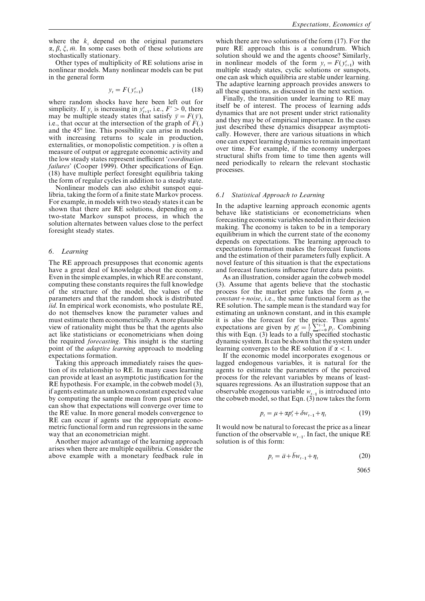where the  $k_i$  depend on the original parameters  $\alpha$ ,  $\beta$ ,  $\xi$ ,  $\overline{m}$ . In some cases both of these solutions are stochastically stationary.

Other types of multiplicity of RE solutions arise in nonlinear models. Many nonlinear models can be put in the general form

$$
y_t = F(y_{t+1}^e) \tag{18}
$$

where random shocks have here been left out for simplicity. If  $y_t$  is increasing in  $y_{t+1}^e$ , i.e.,  $F' > 0$ , there may be multiple steady states that satisfy  $\bar{y} = F(\bar{y})$ , i.e., that occur at the intersection of the graph of *F*(.) and the 45° line. This possibility can arise in models with increasing returns to scale in production, externalities, or monopolistic competition. *y* is often a measure of output or aggregate economic activity and the low steady states represent inefficient '*coordination failures*' (Cooper 1999). Other specifications of Eqn. (18) have multiple perfect foresight equilibria taking the form of regular cycles in addition to a steady state.

Nonlinear models can also exhibit sunspot equilibria, taking the form of a finite state Markov process. For example, in models with two steady states it can be shown that there are RE solutions, depending on a two-state Markov sunspot process, in which the solution alternates between values close to the perfect foresight steady states.

#### *6. Learning*

The RE approach presupposes that economic agents have a great deal of knowledge about the economy. Even in the simple examples, in which RE are constant, computing these constants requires the full knowledge of the structure of the model, the values of the parameters and that the random shock is distributed *iid*. In empirical work economists, who postulate RE, do not themselves know the parameter values and must estimate them econometrically. A more plausible view of rationality might thus be that the agents also act like statisticians or econometricians when doing the required *forecasting*. This insight is the starting point of the *adaptie learning* approach to modeling expectations formation.

Taking this approach immediately raises the question of its relationship to RE. In many cases learning can provide at least an asymptotic justification for the RE hypothesis. For example, in the cobweb model (3), if agents estimate an unknown constant expected value by computing the sample mean from past prices one can show that expectations will converge over time to the RE value. In more general models convergence to RE can occur if agents use the appropriate econometric functional form and run regressions in the same way that an econometrician might.

Another major advantage of the learning approach arises when there are multiple equilibria. Consider the above example with a monetary feedback rule in which there are two solutions of the form (17). For the pure RE approach this is a conundrum. Which solution should we and the agents choose? Similarly, in nonlinear models of the form  $y_t = F(y_{t+1}^e)$  with multiple steady states, cyclic solutions or sunspots, one can ask which equilibria are stable under learning. The adaptive learning approach provides answers to all these questions, as discussed in the next section.

Finally, the transition under learning to RE may itself be of interest. The process of learning adds dynamics that are not present under strict rationality and they may be of empirical importance. In the cases just described these dynamics disappear asymptotically. However, there are various situations in which one can expect learning dynamics to remain important over time. For example, if the economy undergoes structural shifts from time to time then agents will need periodically to relearn the relevant stochastic processes.

## *6.1 Statistical Approach to Learning*

In the adaptive learning approach economic agents behave like statisticians or econometricians when forecasting economic variables needed in their decision making. The economy is taken to be in a temporary equilibrium in which the current state of the economy depends on expectations. The learning approach to expectations formation makes the forecast functions and the estimation of their parameters fully explicit. A novel feature of this situation is that the expectations and forecast functions influence future data points.

As an illustration, consider again the cobweb model (3). Assume that agents believe that the stochastic process for the market price takes the form  $p_t =$ *constant* + *noise*, i.e., the same functional form as the RE solution. The sample mean is the standard way for estimating an unknown constant, and in this example it is also the forecast for the price. Thus agents' it is also the forecast for the price. Thus agents<br>expectations are given by  $p_t^e = \frac{1}{k} \sum_{i=0}^{t-1} p_i$ . Combining<br>this with Eqn. (2) looks to a fully agreed at too bastic this with Eqn. (3) leads to a fully specified stochastic dynamic system. It can be shown that the system under learning converges to the RE solution if  $\alpha$  < 1.

If the economic model incorporates exogenous or lagged endogenous variables, it is natural for the agents to estimate the parameters of the perceived process for the relevant variables by means of leastsquares regressions. As an illustration suppose that an observable exogenous variable *<sup>w</sup>t*−" is introduced into the cobweb model, so that Eqn.  $(3)$  now takes the form

$$
p_t = \mu + \alpha p_t^e + \delta w_{t-1} + \eta_t \tag{19}
$$

It would now be natural to forecast the price as a linear function of the observable  $w_{t-1}$ . In fact, the unique RE solution is of this form:

$$
p_t = \bar{a} + \bar{b}w_{t-1} + \eta_t \tag{20}
$$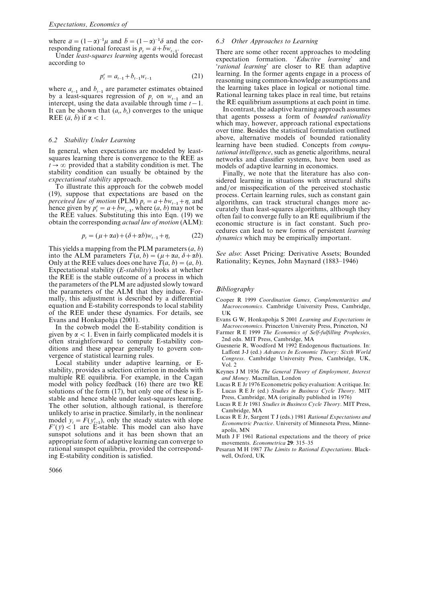where  $\bar{a} = (1 - \alpha)^{-1} \mu$  and  $\bar{b} = (1 - \alpha)^{-1} \delta$  and the corresponding rational forecast is  $p_t = \bar{a} + \bar{b}w_{t-1}$ .

Under *least*-*squares learning* agents would forecast according to

$$
p_t^e = a_{t-1} + b_{t-1} w_{t-1} \tag{21}
$$

where  $a_{t-1}$  and  $b_{t-1}$  are parameter estimates obtained by a least-squares regression of  $p_t$  on  $w_{t-1}$  and an intercept, using the data available through time  $t - 1$ . It can be shown that  $(a_t, b_t)$  converges to the unique REE  $(\bar{a}, \bar{b})$  if  $\alpha < 1$ .

#### *6.2 Stability Under Learning*

In general, when expectations are modeled by leastsquares learning there is convergence to the REE as  $t \rightarrow \infty$  provided that a stability condition is met. The stability condition can usually be obtained by the *expectational stability* approach.

To illustrate this approach for the cobweb model (19), suppose that expectations are based on the *perceived law of motion* (PLM)  $p_t = a + bw_{t-1} + \eta_t$  and hence given by  $p_t^e = a + bw_{t-1}$ , where  $(a, b)$  may not be the REE values. Substituting this into Eqn. (19) we obtain the corresponding *actual law of motion* (ALM):

$$
p_t = (\mu + \alpha a) + (\delta + \alpha b) w_{t-1} + \eta_t \tag{22}
$$

This yields a mapping from the PLM parameters (*a*, *b*) into the ALM parameters  $T(a, b) = (\mu + \alpha a, \delta + \alpha b)$ . Only at the REE values does one have  $\overline{T}(a, b) = (a, b)$ . Expectational stability (*E*-*stability*) looks at whether the REE is the stable outcome of a process in which the parameters of the PLM are adjusted slowly toward the parameters of the ALM that they induce. Formally, this adjustment is described by a differential equation and E-stability corresponds to local stability of the REE under these dynamics. For details, see Evans and Honkapohja (2001).

In the cobweb model the E-stability condition is given by  $\alpha$  < 1. Even in fairly complicated models it is often straightforward to compute E-stability conditions and these appear generally to govern convergence of statistical learning rules.

Local stability under adaptive learning, or Estability, provides a selection criterion in models with multiple RE equilibria. For example, in the Cagan model with policy feedback (16) there are two RE solutions of the form (17), but only one of these is Estable and hence stable under least-squares learning. The other solution, although rational, is therefore unlikely to arise in practice. Similarly, in the nonlinear model  $y_t = F(y_{t+1}^e)$ , only the steady states with slope  $F'(\bar{y}) < 1$  are E-stable. This model can also have sunspot solutions and it has been shown that an appropriate form of adaptive learning can converge to rational sunspot equilibria, provided the corresponding E-stability condition is satisfied.

# *6.3 Other Approaches to Learning*

There are some other recent approaches to modeling expectation formation. '*Eductie learning*' and '*rational learning*' are closer to RE than adaptive learning. In the former agents engage in a process of reasoning using common-knowledge assumptions and the learning takes place in logical or notional time. Rational learning takes place in real time, but retains the RE equilibrium assumptions at each point in time.

In contrast, the adaptive learning approach assumes that agents possess a form of *bounded rationality* which may, however, approach rational expectations over time. Besides the statistical formulation outlined above, alternative models of bounded rationality learning have been studied. Concepts from *computational intelligence*, such as genetic algorithms, neural networks and classifier systems, have been used as models of adaptive learning in economics.

Finally, we note that the literature has also considered learning in situations with structural shifts and/or misspecification of the perceived stochastic process. Certain learning rules, such as constant gain algorithms, can track structural changes more accurately than least-squares algorithms, although they often fail to converge fully to an RE equilibrium if the economic structure is in fact constant. Such procedures can lead to new forms of persistent *learning dynamics* which may be empirically important.

*See also*: Asset Pricing: Derivative Assets; Bounded Rationality; Keynes, John Maynard (1883–1946)

#### *Bibliography*

- Cooper R 1999 *Coordination Games, Complementarities and Macroeconomics*. Cambridge University Press, Cambridge, UK
- Evans G W, Honkapohja S 2001 *Learning and Expectations in Macroeconomics*. Princeton University Press, Princeton, NJ
- Farmer R E 1999 *The Economics of Self*-*fulfilling Prophesies*, 2nd edn. MIT Press, Cambridge, MA
- Guesnerie R, Woodford M 1992 Endogenous fluctuations. In: Laffont J-J (ed.) *Adances In Economic Theory: Sixth World Congress*. Cambridge University Press, Cambridge, UK, Vol. 2
- Keynes J M 1936 *The General Theory of Employment, Interest and Money*. Macmillan, London
- Lucas R E Jr 1976 Econometric policy evaluation: A critique. In: Lucas R E Jr (ed.) *Studies in Business Cycle Theory*. MIT Press, Cambridge, MA (originally published in 1976)
- Lucas R E Jr 1981 *Studies in Business Cycle Theory*. MIT Press, Cambridge, MA
- Lucas R E Jr, Sargent T J (eds.) 1981 *Rational Expectations and Econometric Practice*. University of Minnesota Press, Minneapolis, MN
- Muth J F 1961 Rational expectations and the theory of price movements. *Econometrica* **29**: 315–35
- Pesaran M H 1987 *The Limits to Rational Expectations*. Blackwell, Oxford, UK